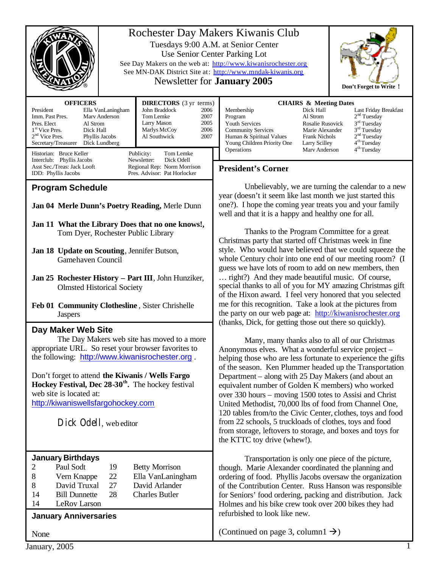| Rochester Day Makers Kiwanis Club<br>Tuesdays 9:00 A.M. at Senior Center<br>Use Senior Center Parking Lot<br>See Day Makers on the web at: http://www.kiwanisrochester.org<br>See MN-DAK District Site at: http://www.mndak-kiwanis.org<br>Newsletter for <b>January 2005</b><br>Don't Forget to Write !                                                                                                                                              |                                                                                                                                                                                                                                                                                                                                                                                                                                                                                                                                                                                                                                                                                                                                                                                                                                                                                                       |  |
|-------------------------------------------------------------------------------------------------------------------------------------------------------------------------------------------------------------------------------------------------------------------------------------------------------------------------------------------------------------------------------------------------------------------------------------------------------|-------------------------------------------------------------------------------------------------------------------------------------------------------------------------------------------------------------------------------------------------------------------------------------------------------------------------------------------------------------------------------------------------------------------------------------------------------------------------------------------------------------------------------------------------------------------------------------------------------------------------------------------------------------------------------------------------------------------------------------------------------------------------------------------------------------------------------------------------------------------------------------------------------|--|
| <b>DIRECTORS</b> (3 yr terms)<br><b>OFFICERS</b><br>President<br>Ella VanLaningham<br>John Braddock<br>2006<br>Imm. Past Pres.<br>Mary Anderson<br>Tom Lemke<br>2007<br>Larry Mason<br>2005<br>Pres. Elect<br>Al Strom<br>1 <sup>st</sup> Vice Pres.<br>Marlys McCoy<br>2006<br>Dick Hall<br>$2nd$ Vice Pres.<br>2007<br>Phyllis Jacobs<br>Al Southwick<br>Secretary/Treasurer<br>Dick Lundberg<br>Historian: Bruce Keller<br>Publicity:<br>Tom Lemke | <b>CHAIRS &amp; Meeting Dates</b><br>Membership<br>Dick Hall<br>Last Friday Breakfast<br>2 <sup>nd</sup> Tuesday<br>Al Strom<br>Program<br>$3rd$ Tuesday<br>Youth Services<br>Rosalie Rusovick<br>$3rd$ Tuesday<br><b>Community Services</b><br>Marie Alexander<br>2 <sup>nd</sup> Tuesday<br>Human & Spiritual Values<br><b>Frank Nichols</b><br>4 <sup>th</sup> Tuesday<br>Young Children Priority One<br>Larry Scilley<br>4 <sup>th</sup> Tuesday<br>Operations<br>Mary Anderson                                                                                                                                                                                                                                                                                                                                                                                                                   |  |
| Newsletter:<br>Dick Odell<br>Interclub: Phyllis Jacobs<br>Asst Sec./Treas: Jack Looft<br>Regional Rep: Norm Morrison<br>IDD: Phyllis Jacobs<br>Pres. Advisor: Pat Horlocker                                                                                                                                                                                                                                                                           | <b>President's Corner</b>                                                                                                                                                                                                                                                                                                                                                                                                                                                                                                                                                                                                                                                                                                                                                                                                                                                                             |  |
| <b>Program Schedule</b><br>Jan 04 Merle Dunn's Poetry Reading, Merle Dunn<br>Jan 11 What the Library Does that no one knows!,<br>Tom Dyer, Rochester Public Library<br>Jan 18 Update on Scouting, Jennifer Butson,<br>Gamehaven Council<br>Jan 25 Rochester History - Part III, John Hunziker,<br><b>Olmsted Historical Society</b><br>Feb 01 Community Clothesline, Sister Chrishelle<br><b>Jaspers</b>                                              | Unbelievably, we are turning the calendar to a new<br>year (doesn't it seem like last month we just started this<br>one?). I hope the coming year treats you and your family<br>well and that it is a happy and healthy one for all.<br>Thanks to the Program Committee for a great<br>Christmas party that started off Christmas week in fine<br>style. Who would have believed that we could squeeze the<br>whole Century choir into one end of our meeting room? (I<br>guess we have lots of room to add on new members, then<br>right?) And they made beautiful music. Of course,<br>special thanks to all of you for MY amazing Christmas gift<br>of the Hixon award. I feel very honored that you selected<br>me for this recognition. Take a look at the pictures from<br>the party on our web page at: http://kiwanisrochester.org<br>(thanks, Dick, for getting those out there so quickly). |  |
| Day Maker Web Site<br>The Day Makers web site has moved to a more<br>appropriate URL. So reset your browser favorites to<br>the following: http://www.kiwanisrochester.org.<br>Don't forget to attend the Kiwanis / Wells Fargo<br><b>Hockey Festival, Dec <math>28-30</math><sup>th</sup>.</b> The hockey festival<br>web site is located at:<br>http://kiwaniswellsfargohockey.com<br>Dick Odell, web editor                                        | Many, many thanks also to all of our Christmas<br>Anonymous elves. What a wonderful service project –<br>helping those who are less fortunate to experience the gifts<br>of the season. Ken Plummer headed up the Transportation<br>Department – along with 25 Day Makers (and about an<br>equivalent number of Golden K members) who worked<br>over 330 hours – moving 1500 totes to Assisi and Christ<br>United Methodist, 70,000 lbs of food from Channel One,<br>120 tables from/to the Civic Center, clothes, toys and food<br>from 22 schools, 5 truckloads of clothes, toys and food<br>from storage, leftovers to storage, and boxes and toys for<br>the KTTC toy drive (whew!).                                                                                                                                                                                                              |  |
| <b>January Birthdays</b><br>2<br>Paul Sodt<br>19<br><b>Betty Morrison</b><br>8<br>Vern Knappe<br>22<br>Ella VanLaningham<br>David Truxal<br>27<br>David Arlander<br>8<br><b>Charles Butler</b><br><b>Bill Dunnette</b><br>28<br>14<br>LeRov Larson<br>14<br><b>January Anniversaries</b><br>None                                                                                                                                                      | Transportation is only one piece of the picture,<br>though. Marie Alexander coordinated the planning and<br>ordering of food. Phyllis Jacobs oversaw the organization<br>of the Contribution Center. Russ Hanson was responsible<br>for Seniors' food ordering, packing and distribution. Jack<br>Holmes and his bike crew took over 200 bikes they had<br>refurbished to look like new.<br>(Continued on page 3, column $1 \rightarrow$ )                                                                                                                                                                                                                                                                                                                                                                                                                                                            |  |

January, 2005 1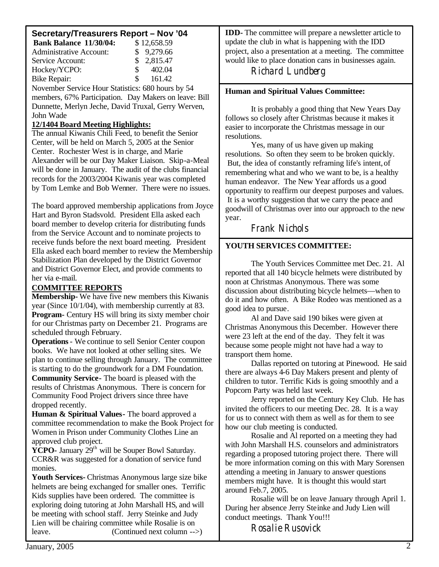# **Secretary/Treasurers Report – Nov '04**

| <b>Bank Balance 11/30/04:</b>                         |    | \$12,658.59 |  |
|-------------------------------------------------------|----|-------------|--|
| <b>Administrative Account:</b>                        |    | \$9,279.66  |  |
| Service Account:                                      |    | \$2,815.47  |  |
| Hockey/YCPO:                                          | S. | 402.04      |  |
| <b>Bike Repair:</b>                                   | S. | 161.42      |  |
| November Service Hour Statistics: 680 hours by 54     |    |             |  |
| members, 67% Participation. Day Makers on leave: Bill |    |             |  |
|                                                       |    |             |  |

Dunnette, Merlyn Jeche, David Truxal, Gerry Werven, John Wade

# **12/1404 Board Meeting Highlights:**

The annual Kiwanis Chili Feed, to benefit the Senior Center, will be held on March 5, 2005 at the Senior Center. Rochester West is in charge, and Marie Alexander will be our Day Maker Liaison. Skip-a-Meal will be done in January. The audit of the clubs financial records for the 2003/2004 Kiwanis year was completed by Tom Lemke and Bob Wenner. There were no issues.

The board approved membership applications from Joyce Hart and Byron Stadsvold. President Ella asked each board member to develop criteria for distributing funds from the Service Account and to nominate projects to receive funds before the next board meeting. President Ella asked each board member to review the Membership Stabilization Plan developed by the District Governor and District Governor Elect, and provide comments to her via e-mail.

# **COMMITTEE REPORTS**

**Membership-** We have five new members this Kiwanis year (Since 10/1/04), with membership currently at 83. **Program-** Century HS will bring its sixty member choir for our Christmas party on December 21. Programs are scheduled through February.

**Operations**- We continue to sell Senior Center coupon books. We have not looked at other selling sites. We plan to continue selling through January. The committee is starting to do the groundwork for a DM Foundation. **Community Service-** The board is pleased with the results of Christmas Anonymous. There is concern for Community Food Project drivers since three have dropped recently.

**Human & Spiritual Values-** The board approved a committee recommendation to make the Book Project for Women in Prison under Community Clothes Line an approved club project.

**YCPO-** January  $29<sup>th</sup>$  will be Souper Bowl Saturday. CCR&R was suggested for a donation of service fund monies.

**Youth Services-** Christmas Anonymous large size bike helmets are being exchanged for smaller ones. Terrific Kids supplies have been ordered. The committee is exploring doing tutoring at John Marshall HS, and will be meeting with school staff. Jerry Steinke and Judy Lien will be chairing committee while Rosalie is on leave. (Continued next column -->)

**IDD-** The committee will prepare a newsletter article to update the club in what is happening with the IDD project, also a presentation at a meeting. The committee would like to place donation cans in businesses again.

Richard Lundberg

# **Human and Spiritual Values Committee:**

It is probably a good thing that New Years Day follows so closely after Christmas because it makes it easier to incorporate the Christmas message in our resolutions.

Yes, many of us have given up making resolutions. So often they seem to be broken quickly. But, the idea of constantly reframing life's intent,of remembering what and who we want to be, is a healthy human endeavor. The New Year affords us a good opportunity to reaffirm our deepest purposes and values. It is a worthy suggestion that we carry the peace and goodwill of Christmas over into our approach to the new year.

Frank Nichols

# **YOUTH SERVICES COMMITTEE:**

The Youth Services Committee met Dec. 21. Al reported that all 140 bicycle helmets were distributed by noon at Christmas Anonymous. There was some discussion about distributing bicycle helmets—when to do it and how often. A Bike Rodeo was mentioned as a good idea to pursue.

Al and Dave said 190 bikes were given at Christmas Anonymous this December. However there were 23 left at the end of the day. They felt it was because some people might not have had a way to transport them home.

Dallas reported on tutoring at Pinewood. He said there are always 4-6 Day Makers present and plenty of children to tutor. Terrific Kids is going smoothly and a Popcorn Party was held last week.

Jerry reported on the Century Key Club. He has invited the officers to our meeting Dec. 28. It is a way for us to connect with them as well as for them to see how our club meeting is conducted.

Rosalie and Al reported on a meeting they had with John Marshall H.S. counselors and administrators regarding a proposed tutoring project there. There will be more information coming on this with Mary Sorensen attending a meeting in January to answer questions members might have. It is thought this would start around Feb.7, 2005.

Rosalie will be on leave January through April 1. During her absence Jerry Steinke and Judy Lien will conduct meetings. Thank You!!!

Rosalie Rusovick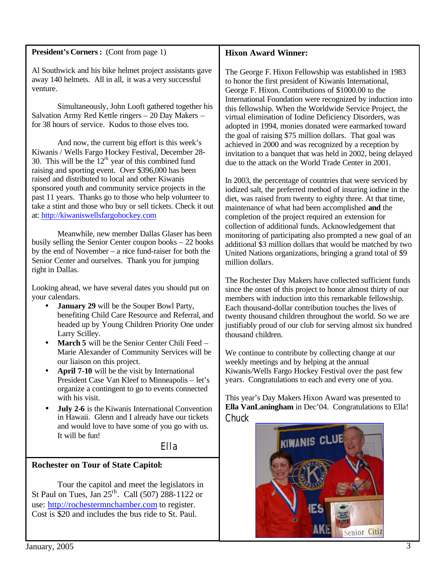#### **President's Corners:** (Cont from page 1)

### **Hixon Award Winner:**

Al Southwick and his bike helmet project assistants gave away 140 helmets. All in all, it was a very successful venture.

Simultaneously, John Looft gathered together his Salvation Army Red Kettle ringers – 20 Day Makers – for 38 hours of service. Kudos to those elves too.

And now, the current big effort is this week's Kiwanis / Wells Fargo Hockey Festival, December 28- 30. This will be the  $12<sup>th</sup>$  year of this combined fund raising and sporting event. Over \$396,000 has been raised and distributed to local and other Kiwanis sponsored youth and community service projects in the past 11 years. Thanks go to those who help volunteer to take a stint and those who buy or sell tickets. Check it out at: <http://kiwaniswellsfargohockey.com>

Meanwhile, new member Dallas Glaser has been busily selling the Senior Center coupon books – 22 books by the end of November – a nice fund-raiser for both the Senior Center and ourselves. Thank you for jumping right in Dallas.

Looking ahead, we have several dates you should put on your calendars.

- **January 29** will be the Souper Bowl Party, benefiting Child Care Resource and Referral, and headed up by Young Children Priority One under Larry Scilley.
- **March 5** will be the Senior Center Chili Feed Marie Alexander of Community Services will be our liaison on this project.
- April 7-10 will be the visit by International President Case Van Kleef to Minneapolis – let's organize a contingent to go to events connected with his visit.
- **July 2-6** is the Kiwanis International Convention in Hawaii. Glenn and I already have our tickets and would love to have some of you go with us. It will be fun!

Ella

### **Rochester on Tour of State Capitol:**

Tour the capitol and meet the legislators in St Paul on Tues, Jan  $25<sup>th</sup>$ . Call (507) 288-1122 or use: <http://rochestermnchamber.com>to register. Cost is \$20 and includes the bus ride to St. Paul.

The George F. Hixon Fellowship was established in 1983 to honor the first president of Kiwanis International, George F. Hixon. Contributions of \$1000.00 to the International Foundation were recognized by induction into this fellowship. When the Worldwide Service Project, the virtual elimination of Iodine Deficiency Disorders, was adopted in 1994, monies donated were earmarked toward the goal of raising \$75 million dollars. That goal was achieved in 2000 and was recognized by a reception by invitation to a banquet that was held in 2002, being delayed due to the attack on the World Trade Center in 2001.

In 2003, the percentage of countries that were serviced by iodized salt, the preferred method of insuring iodine in the diet, was raised from twenty to eighty three. At that time, maintenance of what had been accomplished **and** the completion of the project required an extension for collection of additional funds. Acknowledgement that monitoring of participating also prompted a new goal of an additional \$3 million dollars that would be matched by two United Nations organizations, bringing a grand total of \$9 million dollars.

The Rochester Day Makers have collected sufficient funds since the onset of this project to honor almost thirty of our members with induction into this remarkable fellowship. Each thousand-dollar contribution touches the lives of twenty thousand children throughout the world. So we are justifiably proud of our club for serving almost six hundred thousand children.

We continue to contribute by collecting change at our weekly meetings and by helping at the annual Kiwanis/Wells Fargo Hockey Festival over the past few years. Congratulations to each and every one of you.

This year's Day Makers Hixon Award was presented to **Ella VanLaningham** in Dec'04. Congratulations to Ella! **Chuck**